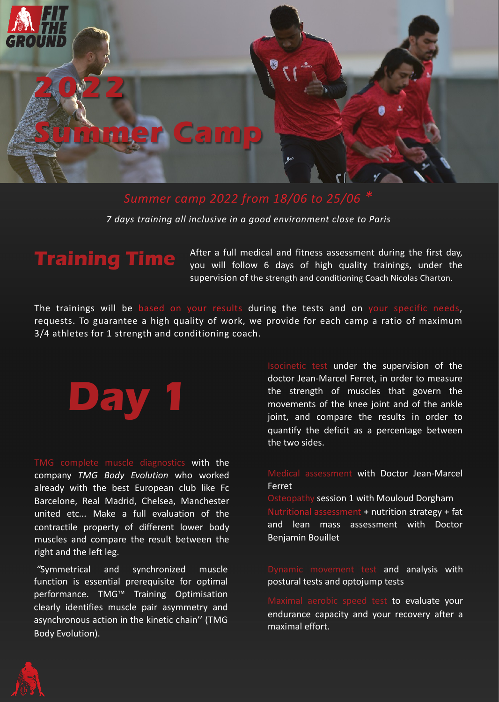

*7 days training all inclusive in a good environment close to Paris*

## **Training Time**

After a full medical and fitness assessment during the first day, you will follow 6 days of high quality trainings, under the supervision of the strength and conditioning Coach Nicolas Charton.

The trainings will be based on your results during the tests and on your specific needs, requests. To guarantee a high quality of work, we provide for each camp a ratio of maximum 3/4 athletes for 1 strength and conditioning coach.

**Day 1**

TMG complete muscle diagnostics with the company *TMG Body Evolution* who worked already with the best European club like Fc Barcelone, Real Madrid, Chelsea, Manchester united etc*...* Make a full evaluation of the contractile property of different lower body muscles and compare the result between the right and the left leg.

*"*Symmetrical and synchronized muscle function is essential prerequisite for optimal performance. TMG™ Training Optimisation clearly identifies muscle pair asymmetry and asynchronous action in the kinetic chain'' (TMG Body Evolution).

Isocinetic test under the supervision of the doctor Jean-Marcel Ferret, in order to measure the strength of muscles that govern the movements of the knee joint and of the ankle joint, and compare the results in order to quantify the deficit as a percentage between the two sides.

Medical assessment with Doctor Jean-Marcel Ferret

Osteopathy session 1 with Mouloud Dorgham Nutritional assessment + nutrition strategy + fat and lean mass assessment with Doctor Benjamin Bouillet

Dynamic movement test and analysis with postural tests and optojump tests

Maximal aerobic speed test to evaluate your endurance capacity and your recovery after a maximal effort.